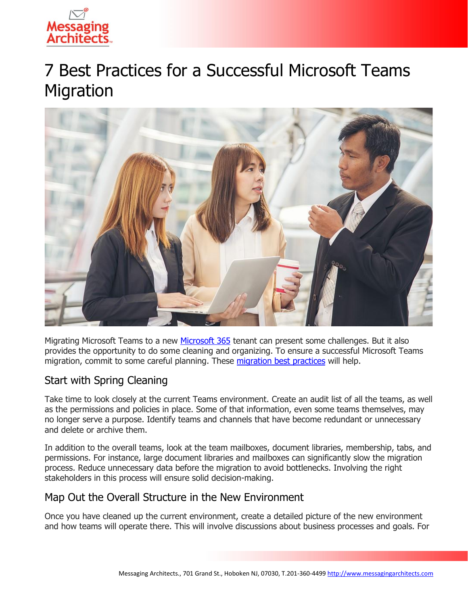

# 7 Best Practices for a Successful Microsoft Teams Migration



Migrating Microsoft Teams to a new [Microsoft 365](https://www.emazzanti.net/microsoft-365-for-remote-work/) tenant can present some challenges. But it also provides the opportunity to do some cleaning and organizing. To ensure a successful Microsoft Teams migration, commit to some careful planning. These [migration best practices](https://messagingarchitects.com/microsoft-365-migration-tips/) will help.

## Start with Spring Cleaning

Take time to look closely at the current Teams environment. Create an audit list of all the teams, as well as the permissions and policies in place. Some of that information, even some teams themselves, may no longer serve a purpose. Identify teams and channels that have become redundant or unnecessary and delete or archive them.

In addition to the overall teams, look at the team mailboxes, document libraries, membership, tabs, and permissions. For instance, large document libraries and mailboxes can significantly slow the migration process. Reduce unnecessary data before the migration to avoid bottlenecks. Involving the right stakeholders in this process will ensure solid decision-making.

## Map Out the Overall Structure in the New Environment

Once you have cleaned up the current environment, create a detailed picture of the new environment and how teams will operate there. This will involve discussions about business processes and goals. For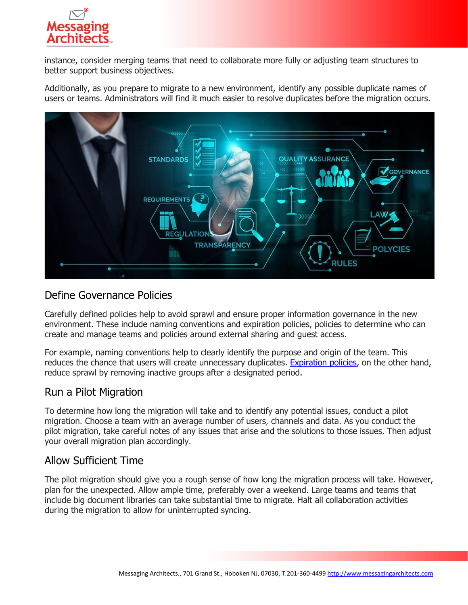

instance, consider merging teams that need to collaborate more fully or adjusting team structures to better support business objectives.

Additionally, as you prepare to migrate to a new environment, identify any possible duplicate names of users or teams. Administrators will find it much easier to resolve duplicates before the migration occurs.



### Define Governance Policies

Carefully defined policies help to avoid sprawl and ensure proper information governance in the new environment. These include naming conventions and expiration policies, policies to determine who can create and manage teams and policies around external sharing and guest access.

For example, naming conventions help to clearly identify the purpose and origin of the team. This reduces the chance that users will create unnecessary duplicates. [Expiration policies,](https://messagingarchitects.com/microsoft-365-groups-tips/) on the other hand, reduce sprawl by removing inactive groups after a designated period.

#### Run a Pilot Migration

To determine how long the migration will take and to identify any potential issues, conduct a pilot migration. Choose a team with an average number of users, channels and data. As you conduct the pilot migration, take careful notes of any issues that arise and the solutions to those issues. Then adjust your overall migration plan accordingly.

## Allow Sufficient Time

The pilot migration should give you a rough sense of how long the migration process will take. However, plan for the unexpected. Allow ample time, preferably over a weekend. Large teams and teams that include big document libraries can take substantial time to migrate. Halt all collaboration activities during the migration to allow for uninterrupted syncing.